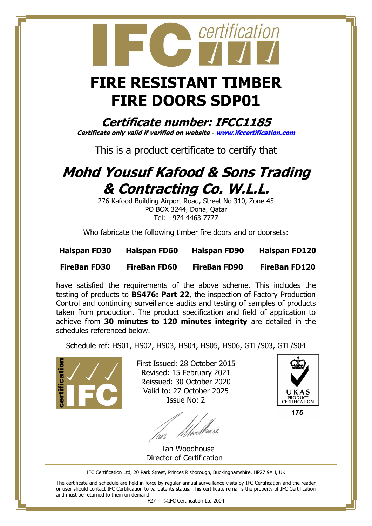## **FIRE RESISTANT TIMBER FIRE DOORS SDP01**

certification

**Certificate number: IFCC1185 Certificate only valid if verified on website - [www.ifccertification.com](http://www.ifccertification.com/)**

This is a product certificate to certify that

## **Mohd Yousuf Kafood & Sons Trading & Contracting Co. W.L.L.**

276 Kafood Building Airport Road, Street No 310, Zone 45 PO BOX 3244, Doha, Qatar Tel: +974 4463 7777

Who fabricate the following timber fire doors and or doorsets:

| <b>Halspan FD30</b> | <b>Halspan FD60</b> | <b>Halspan FD90</b> | <b>Halspan FD120</b> |
|---------------------|---------------------|---------------------|----------------------|
| <b>FireBan FD30</b> | <b>FireBan FD60</b> | <b>FireBan FD90</b> | <b>FireBan FD120</b> |

have satisfied the requirements of the above scheme. This includes the testing of products to **BS476: Part 22**, the inspection of Factory Production Control and continuing surveillance audits and testing of samples of products taken from production. The product specification and field of application to achieve from **30 minutes to 120 minutes integrity** are detailed in the schedules referenced below.

Schedule ref: HS01, HS02, HS03, HS04, HS05, HS06, GTL/S03, GTL/S04



First Issued: 28 October 2015 Revised: 15 February 2021 Reissued: 30 October 2020 Valid to: 27 October 2025 Issue No: 2

<u>f</u> Uperl





175

IFC Certification Ltd, 20 Park Street, Princes Risborough, Buckinghamshire. HP27 9AH, UK

The certificate and schedule are held in force by regular annual surveillance visits by IFC Certification and the reader or user should contact IFC Certification to validate its status. This certificate remains the property of IFC Certification and must be returned to them on demand.

F27 ©IFC Certification Ltd 2004